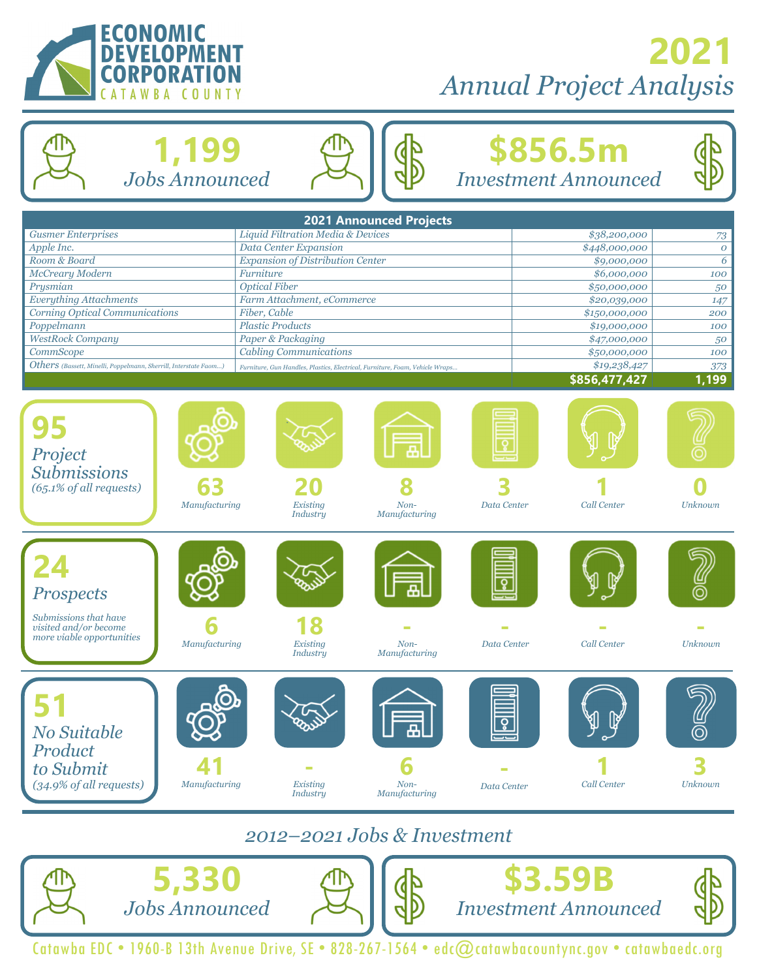

# **2021** *Annual Project Analysis*

#### **\$856.5m**  *Investment Announced*  **2021 Announced Projects**  *Gusmer Enterprises Liquid Filtration Media & Devices \$38,200,000 73 Apple Inc. Data Center Expansion \$448,000,000 0 Room & Board Expansion of Distribution Center \$9,000,000 6*  **1,199**  *Jobs Announced*

| Prysmian                                                                                                         | <b>Optical Fiber</b>                                                                           | \$50,000,000  | 50                 |
|------------------------------------------------------------------------------------------------------------------|------------------------------------------------------------------------------------------------|---------------|--------------------|
| <b>Everything Attachments</b><br>Farm Attachment, eCommerce                                                      |                                                                                                | \$20,039,000  | 147                |
| <b>Corning Optical Communications</b><br>Fiber, Cable                                                            |                                                                                                | \$150,000,000 | 200                |
| <b>Plastic Products</b><br>Poppelmann                                                                            |                                                                                                | \$19,000,000  | 100                |
| <b>WestRock Company</b>                                                                                          | <b>Paper &amp; Packaging</b>                                                                   | \$47,000,000  | 50                 |
| <b>CommScope</b>                                                                                                 | <b>Cabling Communications</b>                                                                  |               | 100                |
| Others (Bassett, Minelli, Poppelmann, Sherrill, Interstate Faom)                                                 | Furniture, Gun Handles, Plastics, Electrical, Furniture, Foam, Vehicle Wraps                   |               | 373                |
|                                                                                                                  |                                                                                                | \$856,477,427 | $\overline{1,199}$ |
| Project<br><b>Submissions</b><br>63<br>$(65.1\%$ of all requests)<br>Manufacturing                               | Existing<br>$Non-$<br>Data Center<br><b>Industry</b><br>Manufacturing                          | Call Center   | Unknown            |
| <b>Prospects</b><br>Submissions that have<br>visited and/or become<br>more viable opportunities<br>Manufacturing | Existing<br>Data Center<br>$Non-$<br><b>Industry</b><br>Manufacturing                          | Call Center   | <b>Unknown</b>     |
| No Suitable<br>Product<br>to Submit<br>(34.9% of all requests)<br>Manufacturing                                  | $\overline{\mathbf{o}}$<br>Existing<br>Non-<br>Data Center<br>Manufacturing<br><b>Industry</b> | Call Center   | <b>Unknown</b>     |

*McCreary Modern* 6 **100 100 100 100 100 100 100 100 100 100 100 100 100 100 100 100 100 100 100 100 100 100 100 100 100 100 100 100 100 100 100 100 100 100** 

#### *2012–2021 Jobs & Investment*



Catawba EDC • 1960-B 13th Avenue Drive, SE • 828-267-1564 • edc@catawbacountync.gov • catawbaedc.org